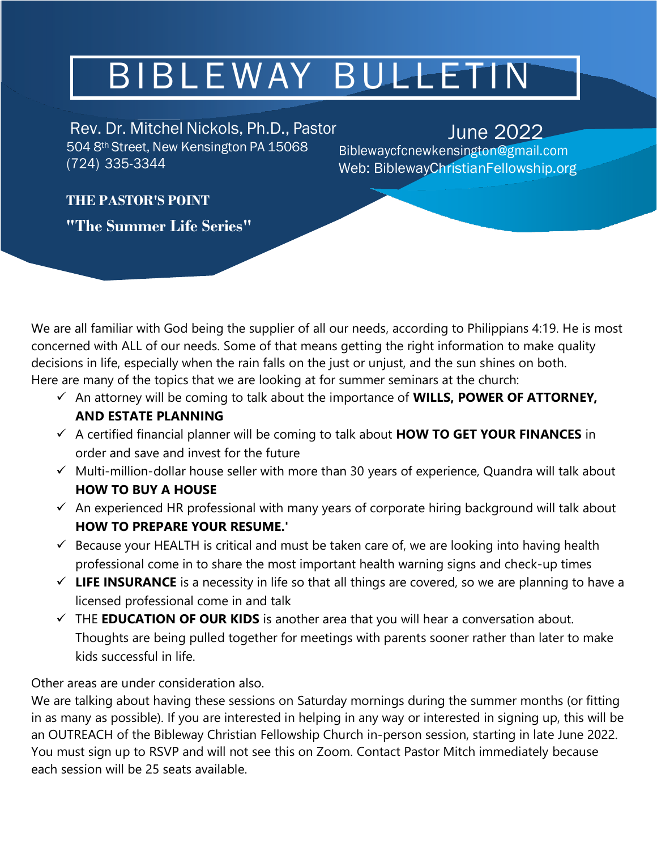# BIBLEWAY BULLETIN

Rev. Dr. Mitchel Nickols, Ph.D., Pastor June 2022 504 8th Street, New Kensington PA 15068 (724) 335-3344

[B](mailto:Biblewaycfcnewkensington@gmail.com)[iblewaycfcnewkensington@gmail.com](mailto:Biblewaycfcnewkensington@gmail.com) Web: BiblewayChristianFellowship.org

### **THE PASTOR'S POINT**

**"The Summer Life Series"**

We are all familiar with God being the supplier of all our needs, according to Philippians 4:19. He is most concerned with ALL of our needs. Some of that means getting the right information to make quality decisions in life, especially when the rain falls on the just or unjust, and the sun shines on both. Here are many of the topics that we are looking at for summer seminars at the church:

- ✓ An attorney will be coming to talk about the importance of **WILLS, POWER OF ATTORNEY, AND ESTATE PLANNING**
- ✓ A certified financial planner will be coming to talk about **HOW TO GET YOUR FINANCES** in order and save and invest for the future
- ✓ Multi-million-dollar house seller with more than 30 years of experience, Quandra will talk about **HOW TO BUY A HOUSE**
- $\checkmark$  An experienced HR professional with many years of corporate hiring background will talk about **HOW TO PREPARE YOUR RESUME.'**
- $\checkmark$  Because your HEALTH is critical and must be taken care of, we are looking into having health professional come in to share the most important health warning signs and check-up times
- $\checkmark$  LIFE INSURANCE is a necessity in life so that all things are covered, so we are planning to have a licensed professional come in and talk
- ✓ THE **EDUCATION OF OUR KIDS** is another area that you will hear a conversation about. Thoughts are being pulled together for meetings with parents sooner rather than later to make kids successful in life.

#### Other areas are under consideration also.

We are talking about having these sessions on Saturday mornings during the summer months (or fitting in as many as possible). If you are interested in helping in any way or interested in signing up, this will be an OUTREACH of the Bibleway Christian Fellowship Church in-person session, starting in late June 2022. You must sign up to RSVP and will not see this on Zoom. Contact Pastor Mitch immediately because each session will be 25 seats available.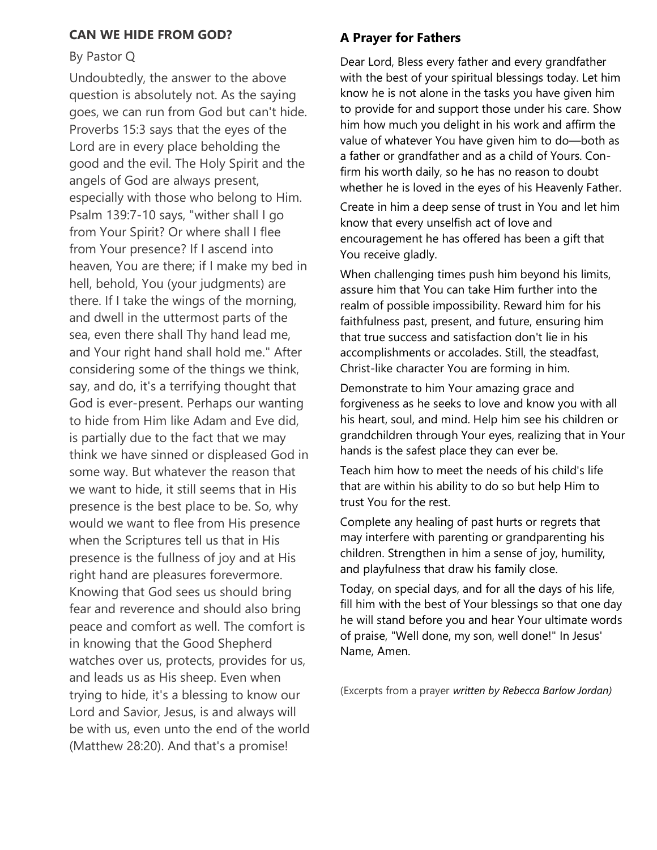#### **CAN WE HIDE FROM GOD?**

#### By Pastor Q

Undoubtedly, the answer to the above question is absolutely not. As the saying goes, we can run from God but can't hide. Proverbs 15:3 says that the eyes of the Lord are in every place beholding the good and the evil. The Holy Spirit and the angels of God are always present, especially with those who belong to Him. Psalm 139:7-10 says, "wither shall I go from Your Spirit? Or where shall I flee from Your presence? If I ascend into heaven, You are there; if I make my bed in hell, behold, You (your judgments) are there. If I take the wings of the morning, and dwell in the uttermost parts of the sea, even there shall Thy hand lead me, and Your right hand shall hold me." After considering some of the things we think, say, and do, it's a terrifying thought that God is ever-present. Perhaps our wanting to hide from Him like Adam and Eve did, is partially due to the fact that we may think we have sinned or displeased God in some way. But whatever the reason that we want to hide, it still seems that in His presence is the best place to be. So, why would we want to flee from His presence when the Scriptures tell us that in His presence is the fullness of joy and at His right hand are pleasures forevermore. Knowing that God sees us should bring fear and reverence and should also bring peace and comfort as well. The comfort is in knowing that the Good Shepherd watches over us, protects, provides for us, and leads us as His sheep. Even when trying to hide, it's a blessing to know our Lord and Savior, Jesus, is and always will be with us, even unto the end of the world (Matthew 28:20). And that's a promise!

#### **A Prayer for Fathers**

Dear Lord, Bless every father and every grandfather with the best of your spiritual blessings today. Let him know he is not alone in the tasks you have given him to provide for and support those under his care. Show him how much you delight in his work and affirm the value of whatever You have given him to do—both as a father or grandfather and as a child of Yours. Confirm his worth daily, so he has no reason to doubt whether he is loved in the eyes of his Heavenly Father.

Create in him a deep sense of trust in You and let him know that every unselfish act of love and encouragement he has offered has been a gift that You receive gladly.

When challenging times push him beyond his limits, assure him that You can take Him further into the realm of possible impossibility. Reward him for his faithfulness past, present, and future, ensuring him that true success and satisfaction don't lie in his accomplishments or accolades. Still, the steadfast, Christ-like character You are forming in him.

Demonstrate to him Your amazing grace and forgiveness as he seeks to love and know you with all his heart, soul, and mind. Help him see his children or grandchildren through Your eyes, realizing that in Your hands is the safest place they can ever be.

Teach him how to meet the needs of his child's life that are within his ability to do so but help Him to trust You for the rest.

Complete any healing of past hurts or regrets that may interfere with parenting or grandparenting his children. Strengthen in him a sense of joy, humility, and playfulness that draw his family close.

Today, on special days, and for all the days of his life, fill him with the best of Your blessings so that one day he will stand before you and hear Your ultimate words of praise, "Well done, my son, well done!" In Jesus' Name, Amen.

(Excerpts from a prayer *written by Rebecca Barlow Jordan)*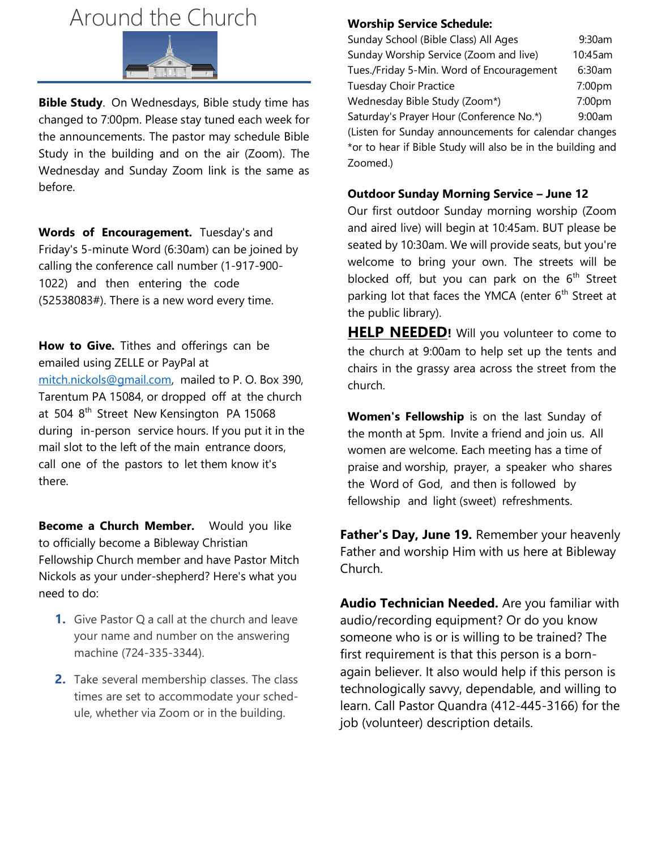## Around the Church



**Bible Study**. On Wednesdays, Bible study time has changed to 7:00pm. Please stay tuned each week for the announcements. The pastor may schedule Bible Study in the building and on the air (Zoom). The Wednesday and Sunday Zoom link is the same as before.

**Words of Encouragement.** Tuesday's and Friday's 5-minute Word (6:30am) can be joined by calling the conference call number (1-917-900- 1022) and then entering the code (52538083#). There is a new word every time.

**How to Give.** Tithes and offerings can be emailed using ZELLE or PayPal at [mitch.nickols@gmail.com,](mailto:mitch.nickols@gmail.com) mailed to P. O. Box 390, Tarentum PA 15084, or dropped off at the church at 504 8<sup>th</sup> Street New Kensington PA 15068 during in-person service hours. If you put it in the mail slot to the left of the main entrance doors, call one of the pastors to let them know it's there.

**Become a Church Member.** Would you like to officially become a Bibleway Christian Fellowship Church member and have Pastor Mitch Nickols as your under-shepherd? Here's what you need to do:

- **1.** Give Pastor Q a call at the church and leave your name and number on the answering machine (724-335-3344).
- **2.** Take several membership classes. The class times are set to accommodate your schedule, whether via Zoom or in the building.

#### **Worship Service Schedule:**

| Sunday School (Bible Class) All Ages                  | 9:30am  |
|-------------------------------------------------------|---------|
| Sunday Worship Service (Zoom and live)                | 10:45am |
| Tues./Friday 5-Min. Word of Encouragement             | 6:30am  |
| <b>Tuesday Choir Practice</b>                         | 7:00pm  |
| Wednesday Bible Study (Zoom*)                         | 7:00pm  |
| Saturday's Prayer Hour (Conference No.*)              | 9:00am  |
| (Listen for Sunday announcements for calendar changes |         |
| .                                                     |         |

\*or to hear if Bible Study will also be in the building and Zoomed.)

#### **Outdoor Sunday Morning Service – June 12**

Our first outdoor Sunday morning worship (Zoom and aired live) will begin at 10:45am. BUT please be seated by 10:30am. We will provide seats, but you're welcome to bring your own. The streets will be blocked off, but you can park on the  $6<sup>th</sup>$  Street parking lot that faces the YMCA (enter 6<sup>th</sup> Street at the public library).

**HELP NEEDED!** Will you volunteer to come to the church at 9:00am to help set up the tents and chairs in the grassy area across the street from the church.

**Women's Fellowship** is on the last Sunday of the month at 5pm. Invite a friend and join us. All women are welcome. Each meeting has a time of praise and worship, prayer, a speaker who shares the Word of God, and then is followed by fellowship and light (sweet) refreshments.

**Father's Day, June 19.** Remember your heavenly Father and worship Him with us here at Bibleway Church.

**Audio Technician Needed.** Are you familiar with audio/recording equipment? Or do you know someone who is or is willing to be trained? The first requirement is that this person is a bornagain believer. It also would help if this person is technologically savvy, dependable, and willing to learn. Call Pastor Quandra (412-445-3166) for the job (volunteer) description details.